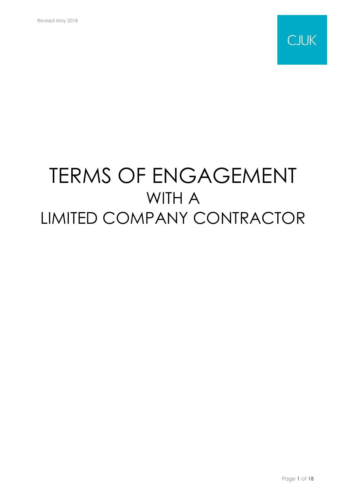

# TERMS OF ENGAGEMENT WITH A LIMITED COMPANY CONTRACTOR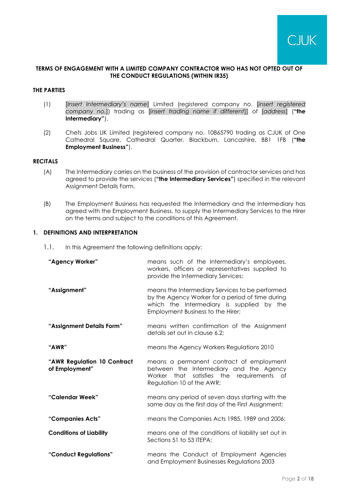## **TERMS OF ENGAGEMENT WITH A LIMITED COMPANY CONTRACTOR WHO HAS NOT OPTED OUT OF THE CONDUCT REGULATIONS (WITHIN IR35)**

## **THE PARTIES**

- (1) [*Insert Intermediary's name*] Limited (registered company no. [*insert registered company no.*]) trading as [*insert trading name if different*]] of [*address*] (**"the Intermediary"**).
- (2) Chefs Jobs UK Limited (registered company no. 10865790 trading as CJUK of One Cathedral Square, Cathedral Quarter, Blackburn, Lancashire, BB1 1FB (**"the Employment Business"**).

## **RECITALS**

- (A) The Intermediary carries on the business of the provision of contractor services and has agreed to provide the services (**"the Intermediary Services"**) specified in the relevant Assignment Details Form.
- (B) The Employment Business has requested the Intermediary and the Intermediary has agreed with the Employment Business, to supply the Intermediary Services to the Hirer on the terms and subject to the conditions of this Agreement.

## **1. DEFINITIONS AND INTERPRETATION**

<span id="page-1-0"></span>1.1. In this Agreement the following definitions apply:

| "Agency Worker"                               | means such of the Intermediary's employees,<br>workers, officers or representatives supplied to<br>provide the Intermediary Services;                                                 |
|-----------------------------------------------|---------------------------------------------------------------------------------------------------------------------------------------------------------------------------------------|
| "Assignment"                                  | means the Intermediary Services to be performed<br>by the Agency Worker for a period of time during<br>which the Intermediary is supplied by the<br>Employment Business to the Hirer; |
| "Assignment Details Form"                     | means written confirmation of the Assignment<br>details set out in clause 6.2;                                                                                                        |
| "AWR"                                         | means the Agency Workers Regulations 2010                                                                                                                                             |
| "AWR Regulation 10 Contract<br>of Employment" | means a permanent contract of employment<br>between the Intermediary and the Agency<br>Worker that satisfies the requirements of<br>Regulation 10 of the AWR;                         |
| "Calendar Week"                               | means any period of seven days starting with the<br>same day as the first day of the First Assignment;                                                                                |
| "Companies Acts"                              | means the Companies Acts 1985, 1989 and 2006;                                                                                                                                         |
| <b>Conditions of Liability</b>                | means one of the conditions of liability set out in<br>Sections 51 to 53 ITEPA;                                                                                                       |
| "Conduct Regulations"                         | means the Conduct of Employment Agencies<br>and Employment Businesses Regulations 2003                                                                                                |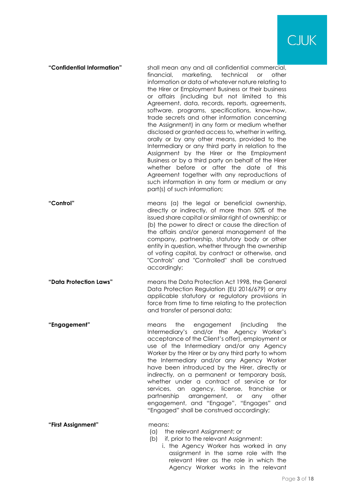

|  | financial, marketing, technical or<br>other<br>information or data of whatever nature relating to<br>the Hirer or Employment Business or their business<br>or affairs (including but not limited to this<br>Agreement, data, records, reports, agreements,<br>software, programs, specifications, know-how,<br>trade secrets and other information concerning<br>the Assignment) in any form or medium whether<br>disclosed or granted access to, whether in writing,<br>orally or by any other means, provided to the<br>Intermediary or any third party in relation to the<br>Assignment by the Hirer or the Employment<br>Business or by a third party on behalf of the Hirer<br>whether before or after the date of this<br>Agreement together with any reproductions of<br>such information in any form or medium or any<br>part(s) of such information; |
|--|---------------------------------------------------------------------------------------------------------------------------------------------------------------------------------------------------------------------------------------------------------------------------------------------------------------------------------------------------------------------------------------------------------------------------------------------------------------------------------------------------------------------------------------------------------------------------------------------------------------------------------------------------------------------------------------------------------------------------------------------------------------------------------------------------------------------------------------------------------------|
|--|---------------------------------------------------------------------------------------------------------------------------------------------------------------------------------------------------------------------------------------------------------------------------------------------------------------------------------------------------------------------------------------------------------------------------------------------------------------------------------------------------------------------------------------------------------------------------------------------------------------------------------------------------------------------------------------------------------------------------------------------------------------------------------------------------------------------------------------------------------------|

**"Control"** means (a) the legal or beneficial ownership, directly or indirectly, of more than 50% of the issued share capital or similar right of ownership; or (b) the power to direct or cause the direction of the affairs and/or general management of the company, partnership, statutory body or other entity in question, whether through the ownership of voting capital, by contract or otherwise, and "Controls" and "Controlled" shall be construed accordingly;

**"Data Protection Laws"** means the Data Protection Act 1998, the General Data Protection Regulation (EU 2016/679) or any applicable statutory or regulatory provisions in force from time to time relating to the protection and transfer of personal data;

**"Engagement"** means the engagement (including the Intermediary's and/or the Agency Worker's acceptance of the Client's offer), employment or use of the Intermediary and/or any Agency Worker by the Hirer or by any third party to whom the Intermediary and/or any Agency Worker have been introduced by the Hirer, directly or indirectly, on a permanent or temporary basis, whether under a contract of service or for services, an agency, license, franchise or partnership arrangement, or any other engagement, and "Engage", "Engages" and "Engaged" shall be construed accordingly;

**"First Assignment"** means:

- (a) the relevant Assignment; or
- (b) if, prior to the relevant Assignment:
	- i. the Agency Worker has worked in any assignment in the same role with the relevant Hirer as the role in which the Agency Worker works in the relevant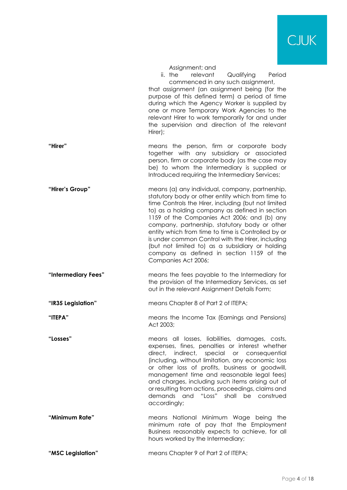

|     | Assignment; and |  |
|-----|-----------------|--|
| he- | relevant        |  |

ii. the relevant Qualifying Period commenced in any such assignment, that assignment (an assignment being (for the purpose of this defined term) a period of time during which the Agency Worker is supplied by one or more Temporary Work Agencies to the relevant Hirer to work temporarily for and under the supervision and direction of the relevant Hirer);

- **"Hirer"** means the person, firm or corporate body together with any subsidiary or associated person, firm or corporate body (as the case may be) to whom the Intermediary is supplied or Introduced requiring the Intermediary Services;
- **"Hirer's Group"** means (a) any individual, company, partnership, statutory body or other entity which from time to time Controls the Hirer, including (but not limited to) as a holding company as defined in section 1159 of the Companies Act 2006; and (b) any company, partnership, statutory body or other entity which from time to time is Controlled by or is under common Control with the Hirer, including (but not limited to) as a subsidiary or holding company as defined in section 1159 of the Companies Act 2006;
- **"Intermediary Fees"** means the fees payable to the Intermediary for the provision of the Intermediary Services, as set out in the relevant Assignment Details Form;
- **"IR35 Legislation"** means Chapter 8 of Part 2 of ITEPA;
- **"ITEPA"** means the Income Tax (Earnings and Pensions) Act 2003;
- **"Losses"** means all losses, liabilities, damages, costs, expenses, fines, penalties or interest whether direct, indirect, special or consequential (including, without limitation, any economic loss or other loss of profits, business or goodwill, management time and reasonable legal fees) and charges, including such items arising out of or resulting from actions, proceedings, claims and demands and "Loss" shall be construed accordingly;
- **"Minimum Rate"** means National Minimum Wage being the minimum rate of pay that the Employment Business reasonably expects to achieve, for all hours worked by the Intermediary;
- **"MSC Legislation"** means Chapter 9 of Part 2 of ITEPA;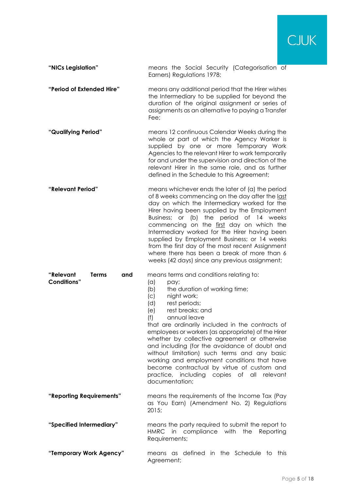

**"NICs Legislation"** means the Social Security (Categorisation of Earners) Regulations 1978;

**"Period of Extended Hire"** means any additional period that the Hirer wishes the Intermediary to be supplied for beyond the duration of the original assignment or series of assignments as an alternative to paying a Transfer Fee;

- **"Qualifying Period"** means 12 continuous Calendar Weeks during the whole or part of which the Agency Worker is supplied by one or more Temporary Work Agencies to the relevant Hirer to work temporarily for and under the supervision and direction of the relevant Hirer in the same role, and as further defined in the Schedule to this Agreement;
- **"Relevant Period"** means whichever ends the later of (a) the period of 8 weeks commencing on the day after the last day on which the Intermediary worked for the Hirer having been supplied by the Employment Business; or (b) the period of 14 weeks commencing on the first day on which the Intermediary worked for the Hirer having been supplied by Employment Business; or 14 weeks from the first day of the most recent Assignment where there has been a break of more than 6 weeks (42 days) since any previous assignment;

means terms and conditions relating to:

| "Relevant<br><b>Conditions"</b> | <b>Terms</b><br>and | means terms and conditions relating to:<br>(a)<br>pay;<br>(b)<br>the duration of working time;<br>(c)<br>night work;<br>(d)<br>rest periods;<br>rest breaks; and<br>(e)<br>(f)<br>annual leave<br>that are ordinarily included in the contracts of<br>employees or workers (as appropriate) of the Hirer<br>whether by collective agreement or otherwise<br>and including (for the avoidance of doubt and<br>without limitation) such terms and any basic<br>working and employment conditions that have<br>become contractual by virtue of custom and<br>practice, including copies of all relevant<br>documentation; |
|---------------------------------|---------------------|------------------------------------------------------------------------------------------------------------------------------------------------------------------------------------------------------------------------------------------------------------------------------------------------------------------------------------------------------------------------------------------------------------------------------------------------------------------------------------------------------------------------------------------------------------------------------------------------------------------------|
| "Reporting Requirements"        |                     | means the requirements of the Income Tax (Pay<br>as You Earn) (Amendment No. 2) Regulations<br>2015;                                                                                                                                                                                                                                                                                                                                                                                                                                                                                                                   |
| "Specified Intermediary"        |                     | means the party required to submit the report to<br>HMRC in compliance with<br>the<br>Reporting<br>Requirements;                                                                                                                                                                                                                                                                                                                                                                                                                                                                                                       |
| "Temporary Work Agency"         |                     | means as defined in the Schedule to<br>this<br>Agreement;                                                                                                                                                                                                                                                                                                                                                                                                                                                                                                                                                              |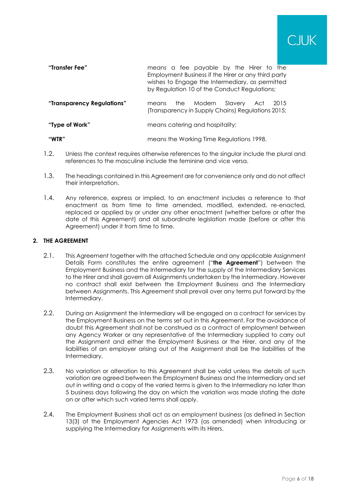| "Transfer Fee"             | means a fee payable by the Hirer to the<br>Employment Business if the Hirer or any third party<br>wishes to Engage the Intermediary, as permitted<br>by Regulation 10 of the Conduct Regulations; |
|----------------------------|---------------------------------------------------------------------------------------------------------------------------------------------------------------------------------------------------|
| "Transparency Regulations" | the Modern<br>Slavery Act<br>2015<br>means<br>(Transparency in Supply Chains) Regulations 2015;                                                                                                   |
| "Type of Work"             | means catering and hospitality;                                                                                                                                                                   |
| "WTR"                      | means the Working Time Regulations 1998.                                                                                                                                                          |

- 1.2. Unless the context requires otherwise references to the singular include the plural and references to the masculine include the feminine and vice versa.
- 1.3. The headings contained in this Agreement are for convenience only and do not affect their interpretation.
- 1.4. Any reference, express or implied, to an enactment includes a reference to that enactment as from time to time amended, modified, extended, re-enacted, replaced or applied by or under any other enactment (whether before or after the date of this Agreement) and all subordinate legislation made (before or after this Agreement) under it from time to time.

# **2. THE AGREEMENT**

- 2.1. This Agreement together with the attached Schedule and any applicable Assignment Details Form constitutes the entire agreement ("**the Agreement**") between the Employment Business and the Intermediary for the supply of the Intermediary Services to the Hirer and shall govern all Assignments undertaken by the Intermediary. However no contract shall exist between the Employment Business and the Intermediary between Assignments. This Agreement shall prevail over any terms put forward by the Intermediary.
- 2.2. During an Assignment the Intermediary will be engaged on a contract for services by the Employment Business on the terms set out in this Agreement. For the avoidance of doubt this Agreement shall not be construed as a contract of employment between any Agency Worker or any representative of the Intermediary supplied to carry out the Assignment and either the Employment Business or the Hirer, and any of the liabilities of an employer arising out of the Assignment shall be the liabilities of the Intermediary.
- 2.3. No variation or alteration to this Agreement shall be valid unless the details of such variation are agreed between the Employment Business and the Intermediary and set out in writing and a copy of the varied terms is given to the Intermediary no later than 5 business days following the day on which the variation was made stating the date on or after which such varied terms shall apply.
- 2.4. The Employment Business shall act as an employment business (as defined in Section 13(3) of the Employment Agencies Act 1973 (as amended) when introducing or supplying the Intermediary for Assignments with its Hirers.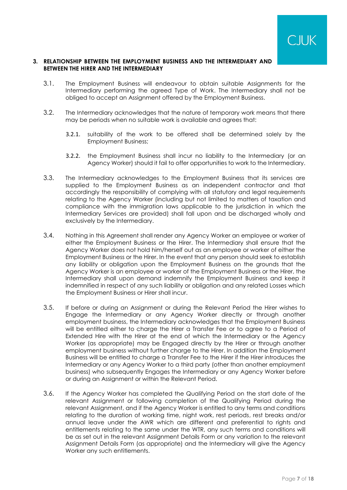

## **3. RELATIONSHIP BETWEEN THE EMPLOYMENT BUSINESS AND THE INTERMEDIARY AND BETWEEN THE HIRER AND THE INTERMEDIARY**

- 3.1. The Employment Business will endeavour to obtain suitable Assignments for the Intermediary performing the agreed Type of Work. The Intermediary shall not be obliged to accept an Assignment offered by the Employment Business.
- 3.2. The Intermediary acknowledges that the nature of temporary work means that there may be periods when no suitable work is available and agrees that:
	- 3.2.1. suitability of the work to be offered shall be determined solely by the Employment Business;
	- 3.2.2. the Employment Business shall incur no liability to the Intermediary (or an Agency Worker) should it fail to offer opportunities to work to the Intermediary.
- 3.3. The Intermediary acknowledges to the Employment Business that its services are supplied to the Employment Business as an independent contractor and that accordingly the responsibility of complying with all statutory and legal requirements relating to the Agency Worker (including but not limited to matters of taxation and compliance with the immigration laws applicable to the jurisdiction in which the Intermediary Services are provided) shall fall upon and be discharged wholly and exclusively by the Intermediary.
- 3.4. Nothing in this Agreement shall render any Agency Worker an employee or worker of either the Employment Business or the Hirer. The Intermediary shall ensure that the Agency Worker does not hold him/herself out as an employee or worker of either the Employment Business or the Hirer. In the event that any person should seek to establish any liability or obligation upon the Employment Business on the grounds that the Agency Worker is an employee or worker of the Employment Business or the Hirer, the Intermediary shall upon demand indemnify the Employment Business and keep it indemnified in respect of any such liability or obligation and any related Losses which the Employment Business or Hirer shall incur.
- 3.5. If before or during an Assignment or during the Relevant Period the Hirer wishes to Engage the Intermediary or any Agency Worker directly or through another employment business, the Intermediary acknowledges that the Employment Business will be entitled either to charge the Hirer a Transfer Fee or to agree to a Period of Extended Hire with the Hirer at the end of which the Intermediary or the Agency Worker (as appropriate) may be Engaged directly by the Hirer or through another employment business without further charge to the Hirer. In addition the Employment Business will be entitled to charge a Transfer Fee to the Hirer if the Hirer introduces the Intermediary or any Agency Worker to a third party (other than another employment business) who subsequently Engages the Intermediary or any Agency Worker before or during an Assignment or within the Relevant Period.
- 3.6. If the Agency Worker has completed the Qualifying Period on the start date of the relevant Assignment or following completion of the Qualifying Period during the relevant Assignment, and if the Agency Worker is entitled to any terms and conditions relating to the duration of working time, night work, rest periods, rest breaks and/or annual leave under the AWR which are different and preferential to rights and entitlements relating to the same under the WTR, any such terms and conditions will be as set out in the relevant Assignment Details Form or any variation to the relevant Assignment Details Form (as appropriate) and the Intermediary will give the Agency Worker any such entitlements.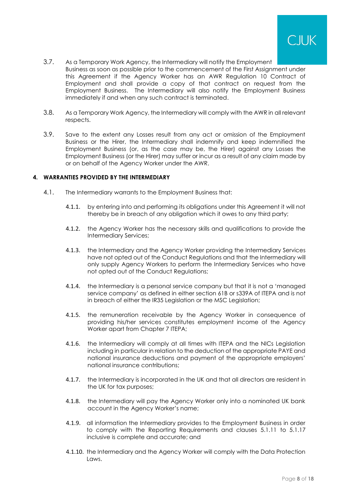

- 3.7. As a Temporary Work Agency, the Intermediary will notify the Employment Business as soon as possible prior to the commencement of the First Assignment under this Agreement if the Agency Worker has an AWR Regulation 10 Contract of Employment and shall provide a copy of that contract on request from the Employment Business. The Intermediary will also notify the Employment Business immediately if and when any such contract is terminated.
- 3.8. As a Temporary Work Agency, the Intermediary will comply with the AWR in all relevant respects.
- <span id="page-7-1"></span>3.9. Save to the extent any Losses result from any act or omission of the Employment Business or the Hirer, the Intermediary shall indemnify and keep indemnified the Employment Business (or, as the case may be, the Hirer) against any Losses the Employment Business (or the Hirer) may suffer or incur as a result of any claim made by or on behalf of the Agency Worker under the AWR.

## <span id="page-7-0"></span>**4. WARRANTIES PROVIDED BY THE INTERMEDIARY**

- 4.1. The Intermediary warrants to the Employment Business that:
	- 4.1.1. by entering into and performing its obligations under this Agreement it will not thereby be in breach of any obligation which it owes to any third party;
	- 4.1.2. the Agency Worker has the necessary skills and qualifications to provide the Intermediary Services;
	- 4.1.3. the Intermediary and the Agency Worker providing the Intermediary Services have not opted out of the Conduct Regulations and that the Intermediary will only supply Agency Workers to perform the Intermediary Services who have not opted out of the Conduct Regulations;
	- 4.1.4. the Intermediary is a personal service company but that it is not a 'managed service company' as defined in either section 61B or s339A of ITEPA and is not in breach of either the IR35 Legislation or the MSC Legislation;
	- 4.1.5. the remuneration receivable by the Agency Worker in consequence of providing his/her services constitutes employment income of the Agency Worker apart from Chapter 7 ITEPA;
	- 4.1.6. the Intermediary will comply at all times with ITEPA and the NICs Legislation including in particular in relation to the deduction of the appropriate PAYE and national insurance deductions and payment of the appropriate employers' national insurance contributions;
	- 4.1.7. the Intermediary is incorporated in the UK and that all directors are resident in the UK for tax purposes;
	- 4.1.8. the Intermediary will pay the Agency Worker only into a nominated UK bank account in the Agency Worker's name;
	- 4.1.9. all information the Intermediary provides to the Employment Business in order to comply with the Reporting Requirements and clauses [5.1.11](#page-8-0) to [5.1.17](#page-9-0) inclusive is complete and accurate; and
	- 4.1.10. the Intermediary and the Agency Worker will comply with the Data Protection Laws.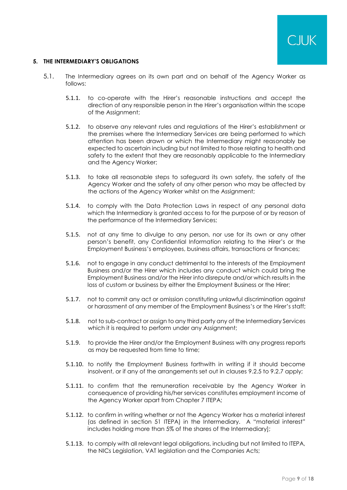## <span id="page-8-1"></span>**5. THE INTERMEDIARY'S OBLIGATIONS**

- <span id="page-8-0"></span>5.1. The Intermediary agrees on its own part and on behalf of the Agency Worker as follows:
	- 5.1.1. to co-operate with the Hirer's reasonable instructions and accept the direction of any responsible person in the Hirer's organisation within the scope of the Assignment;
	- 5.1.2. to observe any relevant rules and regulations of the Hirer's establishment or the premises where the Intermediary Services are being performed to which attention has been drawn or which the Intermediary might reasonably be expected to ascertain including but not limited to those relating to health and safety to the extent that they are reasonably applicable to the Intermediary and the Agency Worker;
	- 5.1.3. to take all reasonable steps to safeguard its own safety, the safety of the Agency Worker and the safety of any other person who may be affected by the actions of the Agency Worker whilst on the Assignment;
	- 5.1.4. to comply with the Data Protection Laws in respect of any personal data which the Intermediary is granted access to for the purpose of or by reason of the performance of the Intermediary Services;
	- 5.1.5. not at any time to divulge to any person, nor use for its own or any other person's benefit, any Confidential Information relating to the Hirer's or the Employment Business's employees, business affairs, transactions or finances;
	- 5.1.6. not to engage in any conduct detrimental to the interests of the Employment Business and/or the Hirer which includes any conduct which could bring the Employment Business and/or the Hirer into disrepute and/or which results in the loss of custom or business by either the Employment Business or the Hirer;
	- 5.1.7. not to commit any act or omission constituting unlawful discrimination against or harassment of any member of the Employment Business's or the Hirer's staff;
	- 5.1.8. not to sub-contract or assign to any third party any of the Intermediary Services which it is required to perform under any Assignment;
	- 5.1.9. to provide the Hirer and/or the Employment Business with any progress reports as may be requested from time to time;
	- 5.1.10. to notify the Employment Business forthwith in writing if it should become insolvent, or if any of the arrangements set out in clauses [9.2.5](#page-12-0) to [9.2.7](#page-13-0) apply;
	- 5.1.11. to confirm that the remuneration receivable by the Agency Worker in consequence of providing his/her services constitutes employment income of the Agency Worker apart from Chapter 7 ITEPA;
	- 5.1.12. to confirm in writing whether or not the Agency Worker has a material interest (as defined in section 51 ITEPA) in the Intermediary. A "material interest" includes holding more than 5% of the shares of the Intermediary];
	- 5.1.13. to comply with all relevant legal obligations, including but not limited to ITEPA, the NICs Legislation, VAT legislation and the Companies Acts;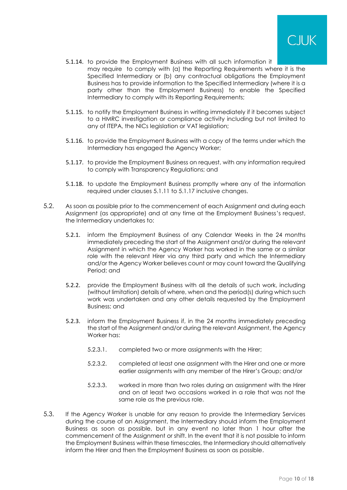

- 5.1.14. to provide the Employment Business with all such information it may require to comply with (a) the Reporting Requirements where it is the Specified Intermediary or (b) any contractual obligations the Employment Business has to provide information to the Specified Intermediary (where it is a party other than the Employment Business) to enable the Specified Intermediary to comply with its Reporting Requirements;
- 5.1.15. to notify the Employment Business in writing immediately if it becomes subject to a HMRC investigation or compliance activity including but not limited to any of ITEPA, the NICs legislation or VAT legislation;
- 5.1.16. to provide the Employment Business with a copy of the terms under which the Intermediary has engaged the Agency Worker;
- <span id="page-9-0"></span>5.1.17. to provide the Employment Business on request, with any information required to comply with Transparency Regulations; and
- 5.1.18. to update the Employment Business promptly where any of the information required under clauses [5.1.11](#page-8-0) to [5.1.17](#page-9-0) inclusive changes.
- 5.2. As soon as possible prior to the commencement of each Assignment and during each Assignment (as appropriate) and at any time at the Employment Business's request, the Intermediary undertakes to:
	- 5.2.1. inform the Employment Business of any Calendar Weeks in the 24 months immediately preceding the start of the Assignment and/or during the relevant Assignment in which the Agency Worker has worked in the same or a similar role with the relevant Hirer via any third party and which the Intermediary and/or the Agency Worker believes count or may count toward the Qualifying Period; and
	- 5.2.2. provide the Employment Business with all the details of such work, including (without limitation) details of where, when and the period(s) during which such work was undertaken and any other details requested by the Employment Business; and
	- 5.2.3. inform the Employment Business if, in the 24 months immediately preceding the start of the Assignment and/or during the relevant Assignment, the Agency Worker has:
		- 5.2.3.1. completed two or more assignments with the Hirer;
		- 5.2.3.2. completed at least one assignment with the Hirer and one or more earlier assignments with any member of the Hirer's Group; and/or
		- 5.2.3.3. worked in more than two roles during an assignment with the Hirer and on at least two occasions worked in a role that was not the same role as the previous role.
- 5.3. If the Agency Worker is unable for any reason to provide the Intermediary Services during the course of an Assignment, the Intermediary should inform the Employment Business as soon as possible, but in any event no later than 1 hour after the commencement of the Assignment or shift. In the event that it is not possible to inform the Employment Business within these timescales, the Intermediary should alternatively inform the Hirer and then the Employment Business as soon as possible.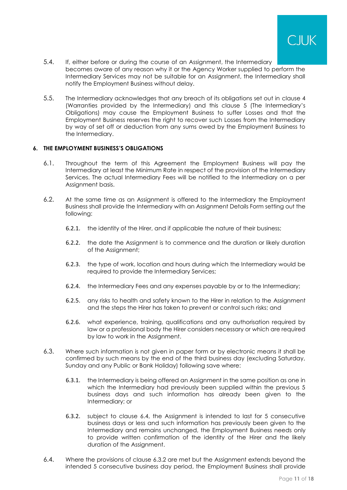

- 5.4. If, either before or during the course of an Assignment, the Intermediary becomes aware of any reason why it or the Agency Worker supplied to perform the Intermediary Services may not be suitable for an Assignment, the Intermediary shall notify the Employment Business without delay.
- 5.5. The Intermediary acknowledges that any breach of its obligations set out in clause [4](#page-7-0) (Warranties provided by the Intermediary) and this clause [5](#page-8-1) (The Intermediary's Obligations) may cause the Employment Business to suffer Losses and that the Employment Business reserves the right to recover such Losses from the Intermediary by way of set off or deduction from any sums owed by the Employment Business to the Intermediary.

## **6. THE EMPLOYMENT BUSINESS'S OBLIGATIONS**

- 6.1. Throughout the term of this Agreement the Employment Business will pay the Intermediary at least the Minimum Rate in respect of the provision of the Intermediary Services. The actual Intermediary Fees will be notified to the Intermediary on a per Assignment basis.
- <span id="page-10-0"></span>6.2. At the same time as an Assignment is offered to the Intermediary the Employment Business shall provide the Intermediary with an Assignment Details Form setting out the following:
	- 6.2.1. the identity of the Hirer, and if applicable the nature of their business;
	- 6.2.2. the date the Assignment is to commence and the duration or likely duration of the Assignment;
	- 6.2.3. the type of work, location and hours during which the Intermediary would be required to provide the Intermediary Services;
	- 6.2.4. the Intermediary Fees and any expenses payable by or to the Intermediary;
	- 6.2.5. any risks to health and safety known to the Hirer in relation to the Assignment and the steps the Hirer has taken to prevent or control such risks; and
	- 6.2.6. what experience, training, qualifications and any authorisation required by law or a professional body the Hirer considers necessary or which are required by law to work in the Assignment.
- 6.3. Where such information is not given in paper form or by electronic means it shall be confirmed by such means by the end of the third business day (excluding Saturday, Sunday and any Public or Bank Holiday) following save where:
	- 6.3.1. the Intermediary is being offered an Assignment in the same position as one in which the Intermediary had previously been supplied within the previous 5 business days and such information has already been given to the Intermediary; or
	- 6.3.2. subject to clause [6.4,](#page-10-1) the Assignment is intended to last for 5 consecutive business days or less and such information has previously been given to the Intermediary and remains unchanged, the Employment Business needs only to provide written confirmation of the identity of the Hirer and the likely duration of the Assignment.
- <span id="page-10-2"></span><span id="page-10-1"></span>6.4. Where the provisions of clause [6.3.2](#page-10-2) are met but the Assignment extends beyond the intended 5 consecutive business day period, the Employment Business shall provide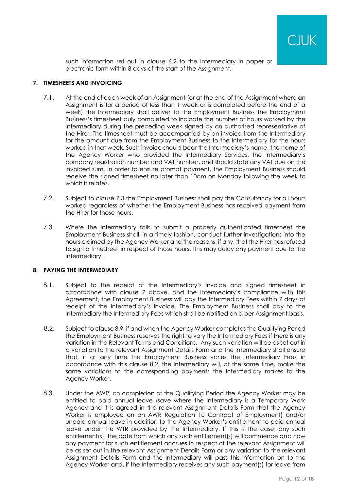

such information set out in clause [6.2](#page-10-0) to the Intermediary in paper or electronic form within 8 days of the start of the Assignment.

## <span id="page-11-1"></span>**7. TIMESHEETS AND INVOICING**

- 7.1. At the end of each week of an Assignment (or at the end of the Assignment where an Assignment is for a period of less than 1 week or is completed before the end of a week) the Intermediary shall deliver to the Employment Business the Employment Business's timesheet duly completed to indicate the number of hours worked by the Intermediary during the preceding week signed by an authorised representative of the Hirer. The timesheet must be accompanied by an invoice from the Intermediary for the amount due from the Employment Business to the Intermediary for the hours worked in that week. Such invoice should bear the Intermediary's name, the name of the Agency Worker who provided the Intermediary Services, the Intermediary's company registration number and VAT number, and should state any VAT due on the invoiced sum. In order to ensure prompt payment, the Employment Business should receive the signed timesheet no later than 10am on Monday following the week to which it relates
- 7.2. Subject to clause [7.3](#page-11-0) the Employment Business shall pay the Consultancy for all hours worked regardless of whether the Employment Business has received payment from the Hirer for those hours.
- <span id="page-11-0"></span>7.3. Where the Intermediary fails to submit a properly authenticated timesheet the Employment Business shall, in a timely fashion, conduct further investigations into the hours claimed by the Agency Worker and the reasons, if any, that the Hirer has refused to sign a timesheet in respect of those hours. This may delay any payment due to the Intermediary.

## **8. PAYING THE INTERMEDIARY**

- 8.1. Subject to the receipt of the Intermediary's invoice and signed timesheet in accordance with clause [7](#page-11-1) above, and the Intermediary's compliance with this Agreement, the Employment Business will pay the Intermediary Fees within 7 days of receipt of the Intermediary's invoice. The Employment Business shall pay to the Intermediary the Intermediary Fees which shall be notified on a per Assignment basis.
- <span id="page-11-2"></span>8.2. Subject to claus[e 8.9,](#page-12-1) if and when the Agency Worker completes the Qualifying Period the Employment Business reserves the right to vary the Intermediary Fees if there is any variation in the Relevant Terms and Conditions. Any such variation will be as set out in a variation to the relevant Assignment Details Form and the Intermediary shall ensure that, if at any time the Employment Business varies the Intermediary Fees in accordance with this clause [8.2,](#page-11-2) the Intermediary will, at the same time, make the same variations to the corresponding payments the Intermediary makes to the Agency Worker.
- <span id="page-11-3"></span>8.3. Under the AWR, on completion of the Qualifying Period the Agency Worker may be entitled to paid annual leave (save where the Intermediary is a Temporary Work Agency and it is agreed in the relevant Assignment Details Form that the Agency Worker is employed on an AWR Regulation 10 Contract of Employment) and/or unpaid annual leave in addition to the Agency Worker's entitlement to paid annual leave under the WTR provided by the Intermediary. If this is the case, any such entitlement(s), the date from which any such entitlement(s) will commence and how any payment for such entitlement accrues in respect of the relevant Assignment will be as set out in the relevant Assignment Details Form or any variation to the relevant Assignment Details Form and the Intermediary will pass this information on to the Agency Worker and, if the Intermediary receives any such payment(s) for leave from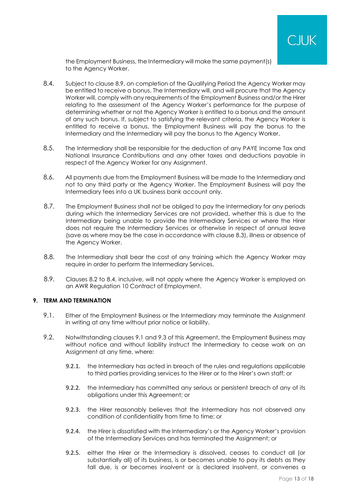

the Employment Business, the Intermediary will make the same payment(s) to the Agency Worker.

- <span id="page-12-2"></span>8.4. Subject to clause [8.9,](#page-12-1) on completion of the Qualifying Period the Agency Worker may be entitled to receive a bonus. The Intermediary will, and will procure that the Agency Worker will, comply with any requirements of the Employment Business and/or the Hirer relating to the assessment of the Agency Worker's performance for the purpose of determining whether or not the Agency Worker is entitled to a bonus and the amount of any such bonus. If, subject to satisfying the relevant criteria, the Agency Worker is entitled to receive a bonus, the Employment Business will pay the bonus to the Intermediary and the Intermediary will pay the bonus to the Agency Worker.
- 8.5. The Intermediary shall be responsible for the deduction of any PAYE Income Tax and National Insurance Contributions and any other taxes and deductions payable in respect of the Agency Worker for any Assignment.
- 8.6. All payments due from the Employment Business will be made to the Intermediary and not to any third party or the Agency Worker. The Employment Business will pay the Intermediary fees into a UK business bank account only.
- 8.7. The Employment Business shall not be obliged to pay the Intermediary for any periods during which the Intermediary Services are not provided, whether this is due to the Intermediary being unable to provide the Intermediary Services or where the Hirer does not require the Intermediary Services or otherwise in respect of annual leave (save as where may be the case in accordance with clause [8.3\)](#page-11-3), illness or absence of the Agency Worker.
- 8.8. The Intermediary shall bear the cost of any training which the Agency Worker may require in order to perform the Intermediary Services.
- <span id="page-12-1"></span>8.9. Clauses [8.2](#page-11-2) to [8.4,](#page-12-2) inclusive, will not apply where the Agency Worker is employed on an AWR Regulation 10 Contract of Employment.

## <span id="page-12-4"></span>**9. TERM AND TERMINATION**

- <span id="page-12-3"></span>9.1. Either of the Employment Business or the Intermediary may terminate the Assignment in writing at any time without prior notice or liability.
- <span id="page-12-0"></span>9.2. Notwithstanding clauses [9.1](#page-12-3) and [9.3](#page-13-1) of this Agreement, the Employment Business may without notice and without liability instruct the Intermediary to cease work on an Assignment at any time, where:
	- 9.2.1. the Intermediary has acted in breach of the rules and regulations applicable to third parties providing services to the Hirer or to the Hirer's own staff; or
	- 9.2.2. the Intermediary has committed any serious or persistent breach of any of its obligations under this Agreement; or
	- 9.2.3. the Hirer reasonably believes that the Intermediary has not observed any condition of confidentiality from time to time; or
	- 9.2.4. the Hirer is dissatisfied with the Intermediary's or the Agency Worker's provision of the Intermediary Services and has terminated the Assignment; or
	- 9.2.5. either the Hirer or the Intermediary is dissolved, ceases to conduct all (or substantially all) of its business, is or becomes unable to pay its debts as they fall due, is or becomes insolvent or is declared insolvent, or convenes a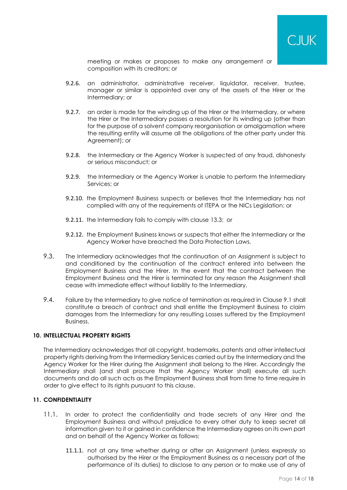

meeting or makes or proposes to make any arrangement or composition with its creditors; or

- 9.2.6. an administrator, administrative receiver, liquidator, receiver, trustee, manager or similar is appointed over any of the assets of the Hirer or the Intermediary; or
- <span id="page-13-0"></span>9.2.7. an order is made for the winding up of the Hirer or the Intermediary, or where the Hirer or the Intermediary passes a resolution for its winding up (other than for the purpose of a solvent company reorganisation or amalgamation where the resulting entity will assume all the obligations of the other party under this Agreement); or
- 9.2.8. the Intermediary or the Agency Worker is suspected of any fraud, dishonesty or serious misconduct; or
- 9.2.9. the Intermediary or the Agency Worker is unable to perform the Intermediary Services; or
- 9.2.10. the Employment Business suspects or believes that the Intermediary has not complied with any of the requirements of ITEPA or the NICs Legislation; or
- 9.2.11. the Intermediary fails to comply with clause [13.3;](#page-14-0) or
- 9.2.12. the Employment Business knows or suspects that either the Intermediary or the Agency Worker have breached the Data Protection Laws.
- <span id="page-13-1"></span>9.3. The Intermediary acknowledges that the continuation of an Assignment is subject to and conditioned by the continuation of the contract entered into between the Employment Business and the Hirer. In the event that the contract between the Employment Business and the Hirer is terminated for any reason the Assignment shall cease with immediate effect without liability to the Intermediary.
- 9.4. Failure by the Intermediary to give notice of termination as required in Clause 9.1 shall constitute a breach of contract and shall entitle the Employment Business to claim damages from the Intermediary for any resulting Losses suffered by the Employment Business.

## **10. INTELLECTUAL PROPERTY RIGHTS**

The Intermediary acknowledges that all copyright, trademarks, patents and other intellectual property rights deriving from the Intermediary Services carried out by the Intermediary and the Agency Worker for the Hirer during the Assignment shall belong to the Hirer. Accordingly the Intermediary shall (and shall procure that the Agency Worker shall) execute all such documents and do all such acts as the Employment Business shall from time to time require in order to give effect to its rights pursuant to this clause.

## **11. CONFIDENTIALITY**

- 11.1. In order to protect the confidentiality and trade secrets of any Hirer and the Employment Business and without prejudice to every other duty to keep secret all information given to it or gained in confidence the Intermediary agrees on its own part and on behalf of the Agency Worker as follows:
	- 11.1.1. not at any time whether during or after an Assignment (unless expressly so authorised by the Hirer or the Employment Business as a necessary part of the performance of its duties) to disclose to any person or to make use of any of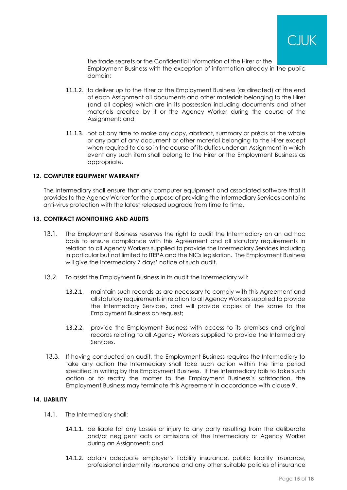

the trade secrets or the Confidential Information of the Hirer or the Employment Business with the exception of information already in the public domain;

- 11.1.2. to deliver up to the Hirer or the Employment Business (as directed) at the end of each Assignment all documents and other materials belonging to the Hirer (and all copies) which are in its possession including documents and other materials created by it or the Agency Worker during the course of the Assignment; and
- 11.1.3. not at any time to make any copy, abstract, summary or précis of the whole or any part of any document or other material belonging to the Hirer except when required to do so in the course of its duties under an Assignment in which event any such item shall belong to the Hirer or the Employment Business as appropriate.

### **12. COMPUTER EQUIPMENT WARRANTY**

The Intermediary shall ensure that any computer equipment and associated software that it provides to the Agency Worker for the purpose of providing the Intermediary Services contains anti-virus protection with the latest released upgrade from time to time.

## **13. CONTRACT MONITORING AND AUDITS**

- 13.1. The Employment Business reserves the right to audit the Intermediary on an ad hoc basis to ensure compliance with this Agreement and all statutory requirements in relation to all Agency Workers supplied to provide the Intermediary Services including in particular but not limited to ITEPA and the NICs legislation. The Employment Business will give the Intermediary 7 days' notice of such audit.
- 13.2. To assist the Employment Business in its audit the Intermediary will:
	- 13.2.1. maintain such records as are necessary to comply with this Agreement and all statutory requirements in relation to all Agency Workers supplied to provide the Intermediary Services, and will provide copies of the same to the Employment Business on request;
	- 13.2.2. provide the Employment Business with access to its premises and original records relating to all Agency Workers supplied to provide the Intermediary Services.
- <span id="page-14-0"></span>13.3. If having conducted an audit, the Employment Business requires the Intermediary to take any action the Intermediary shall take such action within the time period specified in writing by the Employment Business. If the Intermediary fails to take such action or to rectify the matter to the Employment Business's satisfaction, the Employment Business may terminate this Agreement in accordance with clause [9.](#page-12-4)

# **14. LIABILITY**

- 14.1. The Intermediary shall:
	- 14.1.1. be liable for any Losses or injury to any party resulting from the deliberate and/or negligent acts or omissions of the Intermediary or Agency Worker during an Assignment; and
	- 14.1.2. obtain adequate employer's liability insurance, public liability insurance, professional indemnity insurance and any other suitable policies of insurance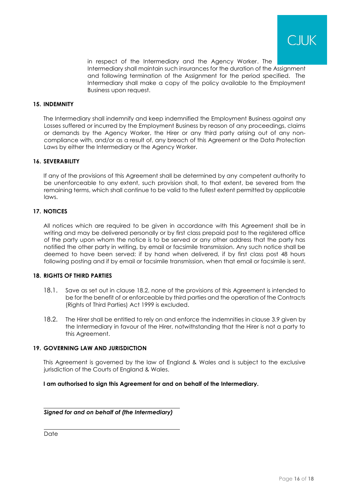

in respect of the Intermediary and the Agency Worker. The Intermediary shall maintain such insurances for the duration of the Assignment and following termination of the Assignment for the period specified. The Intermediary shall make a copy of the policy available to the Employment Business upon request.

### **15. INDEMNITY**

The Intermediary shall indemnify and keep indemnified the Employment Business against any Losses suffered or incurred by the Employment Business by reason of any proceedings, claims or demands by the Agency Worker, the Hirer or any third party arising out of any noncompliance with, and/or as a result of, any breach of this Agreement or the Data Protection Laws by either the Intermediary or the Agency Worker.

### **16. SEVERABILITY**

If any of the provisions of this Agreement shall be determined by any competent authority to be unenforceable to any extent, such provision shall, to that extent, be severed from the remaining terms, which shall continue to be valid to the fullest extent permitted by applicable laws.

### **17. NOTICES**

All notices which are required to be given in accordance with this Agreement shall be in writing and may be delivered personally or by first class prepaid post to the registered office of the party upon whom the notice is to be served or any other address that the party has notified the other party in writing, by email or facsimile transmission. Any such notice shall be deemed to have been served: if by hand when delivered, if by first class post 48 hours following posting and if by email or facsimile transmission, when that email or facsimile is sent.

#### **18. RIGHTS OF THIRD PARTIES**

- 18.1. Save as set out in clause [18.2,](#page-15-0) none of the provisions of this Agreement is intended to be for the benefit of or enforceable by third parties and the operation of the Contracts (Rights of Third Parties) Act 1999 is excluded.
- <span id="page-15-0"></span>18.2. The Hirer shall be entitled to rely on and enforce the indemnities in clause [3.9](#page-7-1) given by the Intermediary in favour of the Hirer, notwithstanding that the Hirer is not a party to this Agreement.

#### **19. GOVERNING LAW AND JURISDICTION**

This Agreement is governed by the law of England & Wales and is subject to the exclusive jurisdiction of the Courts of England & Wales.

**I am authorised to sign this Agreement for and on behalf of the Intermediary.**

## *Signed for and on behalf of (the Intermediary)*

Date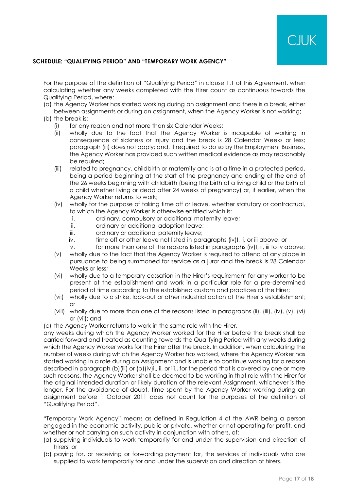# **SCHEDULE: "QUALIFYING PERIOD" AND "TEMPORARY WORK AGENCY"**

For the purpose of the definition of "Qualifying Period" in clause [1.1](#page-1-0) of this Agreement, when calculating whether any weeks completed with the Hirer count as continuous towards the Qualifying Period, where:

- (a) the Agency Worker has started working during an assignment and there is a break, either between assignments or during an assignment, when the Agency Worker is not working;
- (b) the break is:
	- (i) for any reason and not more than six Calendar Weeks;
	- (ii) wholly due to the fact that the Agency Worker is incapable of working in consequence of sickness or injury and the break is 28 Calendar Weeks or less; paragraph (iii) does not apply; and, if required to do so by the Employment Business, the Agency Worker has provided such written medical evidence as may reasonably be required;
	- (iii) related to pregnancy, childbirth or maternity and is at a time in a protected period, being a period beginning at the start of the pregnancy and ending at the end of the 26 weeks beginning with childbirth (being the birth of a living child or the birth of a child whether living or dead after 24 weeks of pregnancy) or, if earlier, when the Agency Worker returns to work;
	- (iv) wholly for the purpose of taking time off or leave, whether statutory or contractual, to which the Agency Worker is otherwise entitled which is:
		- i. ordinary, compulsory or additional maternity leave;
		- ii. ordinary or additional adoption leave;
		- iii. ordinary or additional paternity leave;
		- iv.  $t$  time off or other leave not listed in paragraphs (iv)I, ii, or iii above; or
		- v. for more than one of the reasons listed in paragraphs (iv)I, ii, iii to iv above;
	- (v) wholly due to the fact that the Agency Worker is required to attend at any place in pursuance to being summoned for service as a juror and the break is 28 Calendar Weeks or less;
	- (vi) wholly due to a temporary cessation in the Hirer's requirement for any worker to be present at the establishment and work in a particular role for a pre-determined period of time according to the established custom and practices of the Hirer;
	- (vii) wholly due to a strike, lock-out or other industrial action at the Hirer's establishment; or
	- (viii) wholly due to more than one of the reasons listed in paragraphs (ii), (iii), (iv), (v), (vi) or (vii); and
- (c) the Agency Worker returns to work in the same role with the Hirer,

any weeks during which the Agency Worker worked for the Hirer before the break shall be carried forward and treated as counting towards the Qualifying Period with any weeks during which the Agency Worker works for the Hirer after the break. In addition, when calculating the number of weeks during which the Agency Worker has worked, where the Agency Worker has started working in a role during an Assignment and is unable to continue working for a reason described in paragraph (b)(iii) or (b)(iv)i., ii, or iii., for the period that is covered by one or more such reasons, the Agency Worker shall be deemed to be working in that role with the Hirer for the original intended duration or likely duration of the relevant Assignment, whichever is the longer. For the avoidance of doubt, time spent by the Agency Worker working during an assignment before 1 October 2011 does not count for the purposes of the definition of "Qualifying Period".

"Temporary Work Agency" means as defined in Regulation 4 of the AWR being a person engaged in the economic activity, public or private, whether or not operating for profit, and whether or not carrying on such activity in conjunction with others, of:

- (a) supplying individuals to work temporarily for and under the supervision and direction of hirers; or
- (b) paying for, or receiving or forwarding payment for, the services of individuals who are supplied to work temporarily for and under the supervision and direction of hirers.